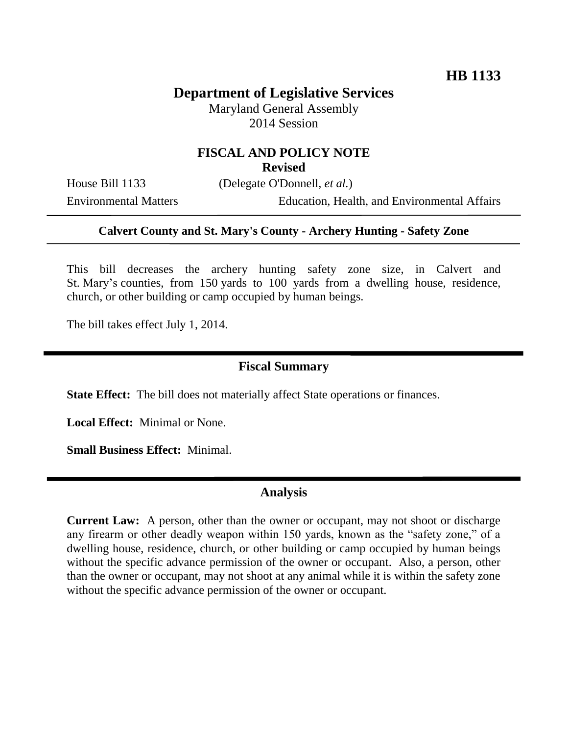## **Department of Legislative Services**

Maryland General Assembly 2014 Session

# **FISCAL AND POLICY NOTE**

**Revised**

House Bill 1133 (Delegate O'Donnell, *et al.*)

Environmental Matters Education, Health, and Environmental Affairs

#### **Calvert County and St. Mary's County - Archery Hunting - Safety Zone**

This bill decreases the archery hunting safety zone size, in Calvert and St. Mary's counties, from 150 yards to 100 yards from a dwelling house, residence, church, or other building or camp occupied by human beings.

The bill takes effect July 1, 2014.

#### **Fiscal Summary**

**State Effect:** The bill does not materially affect State operations or finances.

**Local Effect:** Minimal or None.

**Small Business Effect:** Minimal.

#### **Analysis**

**Current Law:** A person, other than the owner or occupant, may not shoot or discharge any firearm or other deadly weapon within 150 yards, known as the "safety zone," of a dwelling house, residence, church, or other building or camp occupied by human beings without the specific advance permission of the owner or occupant. Also, a person, other than the owner or occupant, may not shoot at any animal while it is within the safety zone without the specific advance permission of the owner or occupant.